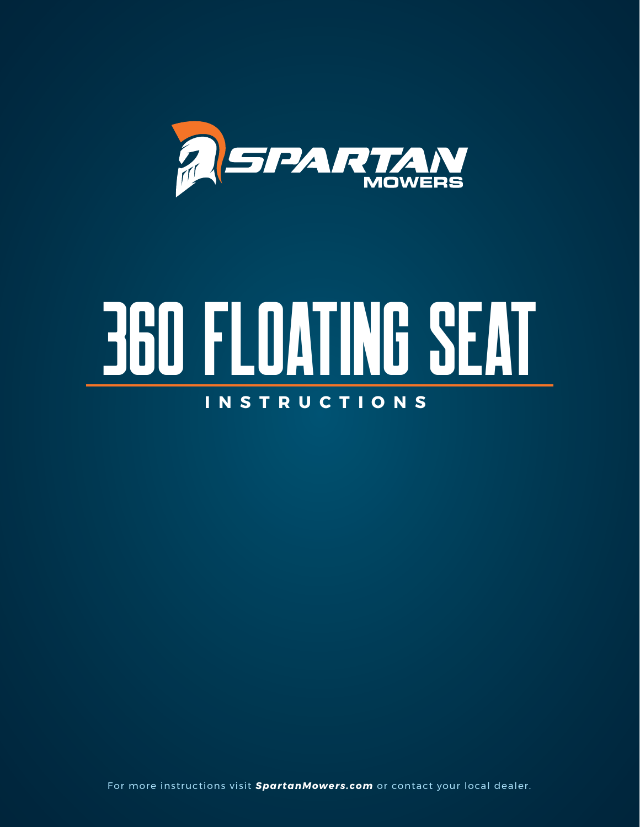

# 360 floating seat **INSTRUCTIONS**

For more instructions visit *SpartanMowers.com* or contact your local dealer.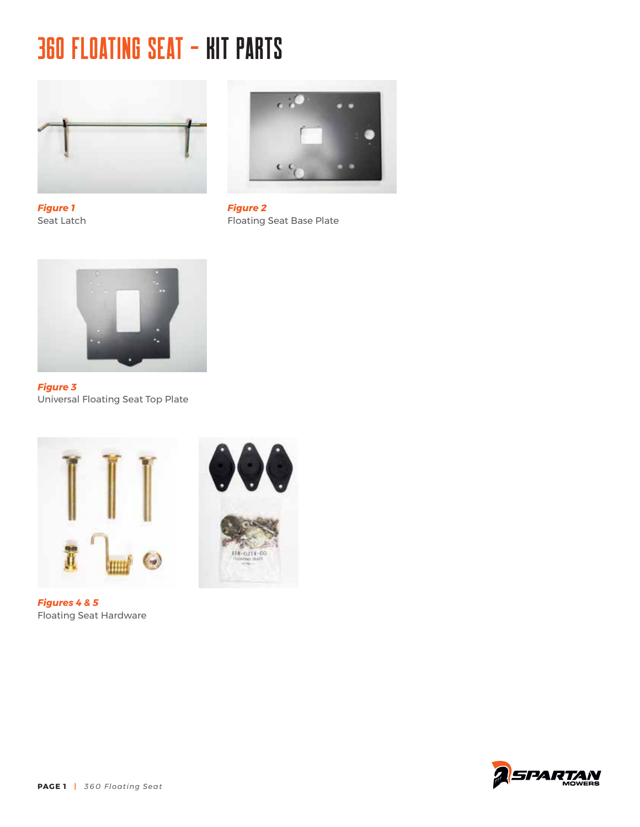#### 360 FLOATING SEAT - KIT PARTS



*Figure 1* Seat Latch



*Figure 2* Floating Seat Base Plate



*Figure 3* Universal Floating Seat Top Plate



*Figures 4 & 5* Floating Seat Hardware



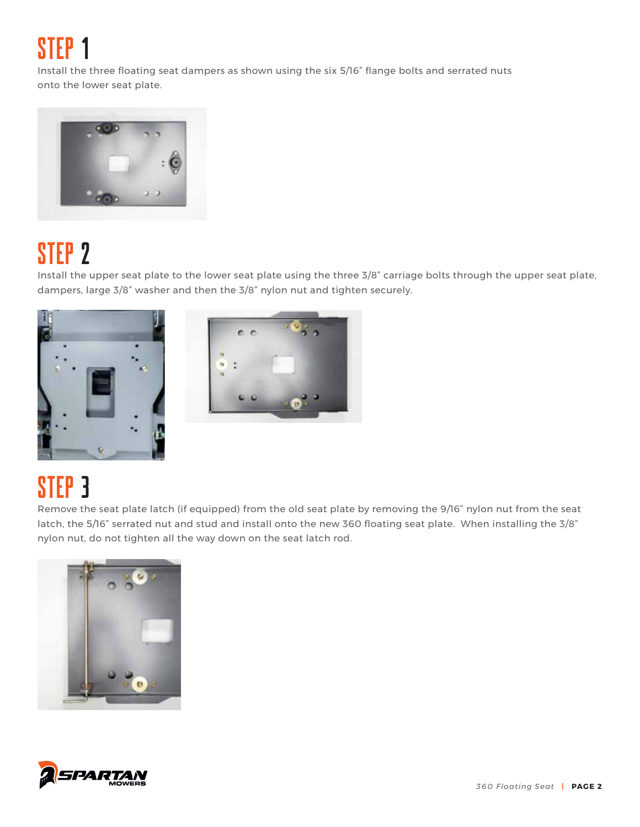STEP 1

Install the three floating seat dampers as shown using the six 5/16" flange bolts and serrated nuts onto the lower seat plate.



# STEP 2

Install the upper seat plate to the lower seat plate using the three 3/8" carriage bolts through the upper seat plate, dampers, large 3/8" washer and then the 3/8" nylon nut and tighten securely.





# STEP<sub>3</sub>

Remove the seat plate latch (if equipped) from the old seat plate by removing the 9/16" nylon nut from the seat latch, the 5/16" serrated nut and stud and install onto the new 360 floating seat plate. When installing the 3/8" nylon nut, do not tighten all the way down on the seat latch rod.



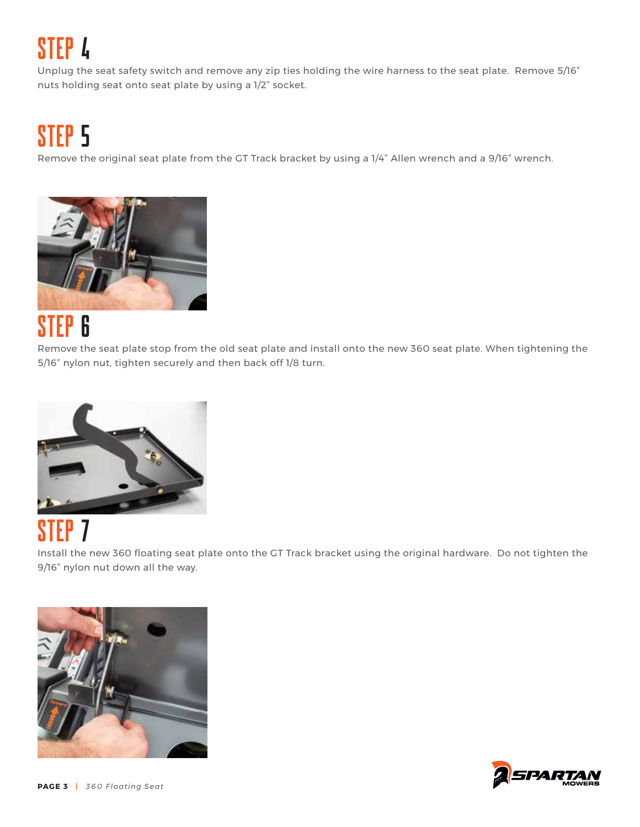# Step 4

Unplug the seat safety switch and remove any zip ties holding the wire harness to the seat plate. Remove 5/16" nuts holding seat onto seat plate by using a 1/2" socket.

## STEP<sub>5</sub>

Remove the original seat plate from the GT Track bracket by using a 1/4" Allen wrench and a 9/16" wrench.



## Step 6

Remove the seat plate stop from the old seat plate and install onto the new 360 seat plate. When tightening the 5/16" nylon nut, tighten securely and then back off 1/8 turn.



### STEP<sub>7</sub>

Install the new 360 floating seat plate onto the GT Track bracket using the original hardware. Do not tighten the 9/16" nylon nut down all the way.





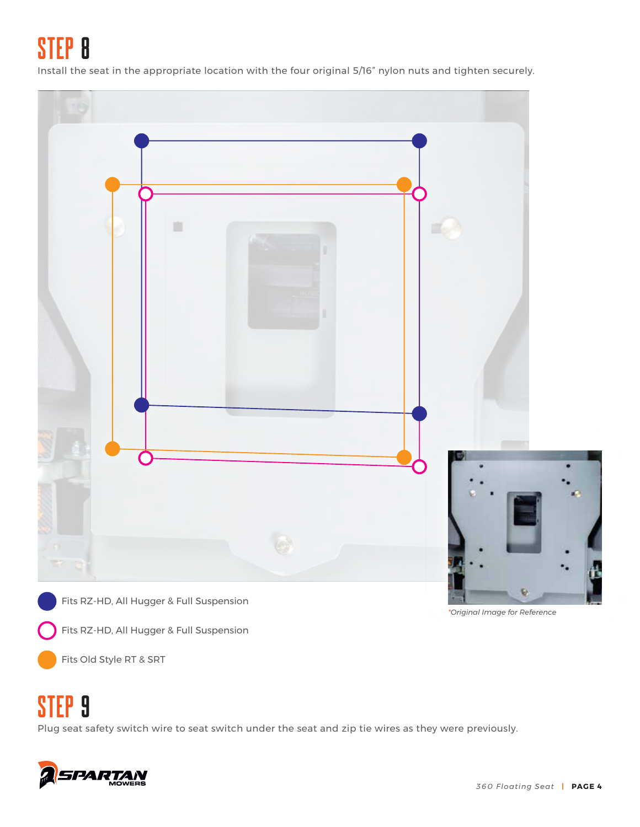Step 8

Install the seat in the appropriate location with the four original 5/16" nylon nuts and tighten securely.



Fits Old Style RT & SRT

#### Step 9

Plug seat safety switch wire to seat switch under the seat and zip tie wires as they were previously.